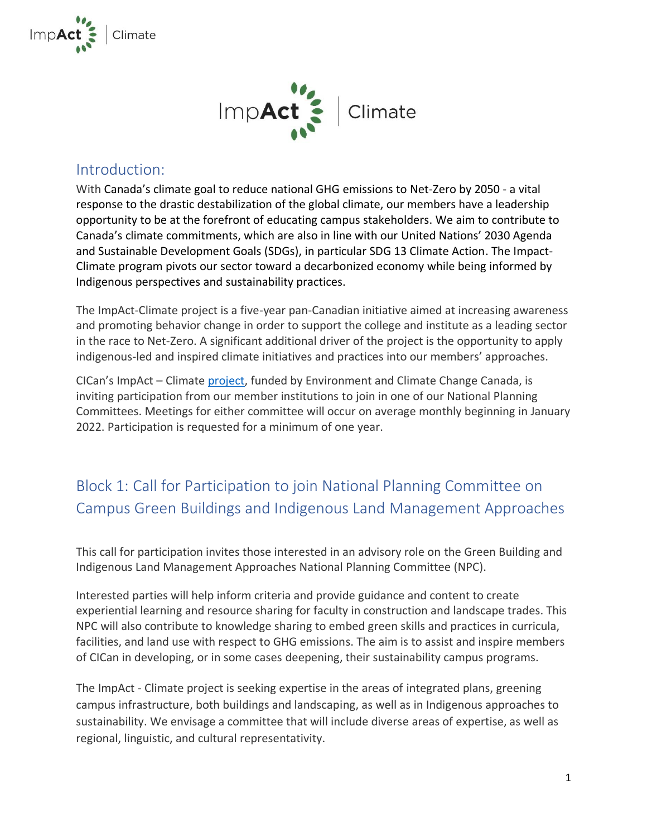



### Introduction:

With Canada's climate goal to reduce national GHG emissions to Net-Zero by 2050 - a vital response to the drastic destabilization of the global climate, our members have a leadership opportunity to be at the forefront of educating campus stakeholders. We aim to contribute to Canada's climate commitments, which are also in line with our United Nations' 2030 Agenda and Sustainable Development Goals (SDGs), in particular SDG 13 Climate Action. The Impact-Climate program pivots our sector toward a decarbonized economy while being informed by Indigenous perspectives and sustainability practices.

The ImpAct-Climate project is a five-year pan-Canadian initiative aimed at increasing awareness and promoting behavior change in order to support the college and institute as a leading sector in the race to Net-Zero. A significant additional driver of the project is the opportunity to apply indigenous-led and inspired climate initiatives and practices into our members' approaches.

[CICan's ImpAct –](https://www.collegesinstitutes.ca/what-we-do/canadian-partnerships/impact/impact-climate/) Climate project, funded by Environment and Climate Change Canada, is inviting participation from our member institutions to join in one of our National Planning Committees. Meetings for either committee will occur on average monthly beginning in January 2022. Participation is requested for a minimum of one year.

## Block 1: Call for Participation to join National Planning Committee on Campus Green Buildings and Indigenous Land Management Approaches

This call for participation invites those interested in an advisory role on the Green Building and Indigenous Land Management Approaches National Planning Committee (NPC).

Interested parties will help inform criteria and provide guidance and content to create experiential learning and resource sharing for faculty in construction and landscape trades. This NPC will also contribute to knowledge sharing to embed green skills and practices in curricula, facilities, and land use with respect to GHG emissions. The aim is to assist and inspire members of CICan in developing, or in some cases deepening, their sustainability campus programs.

The ImpAct - Climate project is seeking expertise in the areas of integrated plans, greening campus infrastructure, both buildings and landscaping, as well as in Indigenous approaches to sustainability. We envisage a committee that will include diverse areas of expertise, as well as regional, linguistic, and cultural representativity.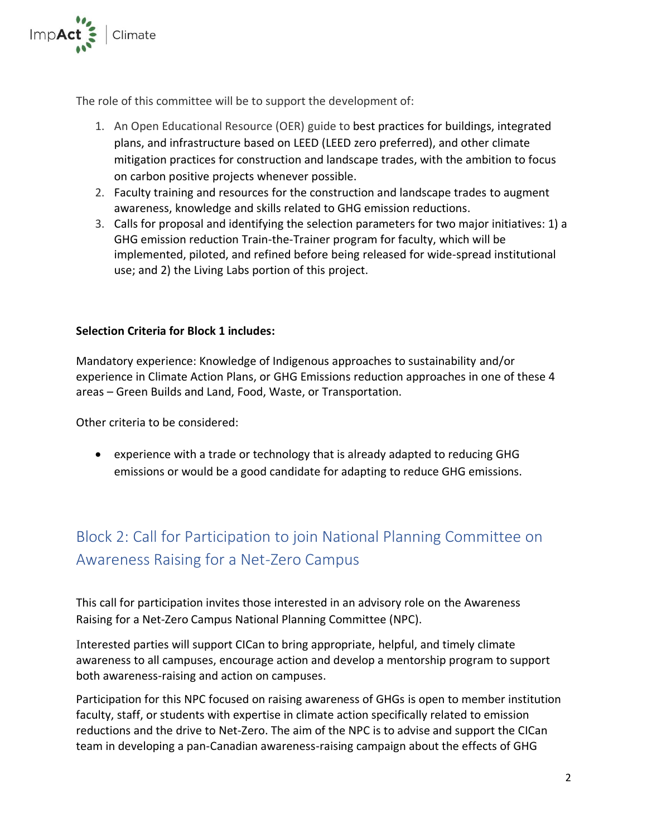

The role of this committee will be to support the development of:

- 1. An Open Educational Resource (OER) guide to best practices for buildings, integrated plans, and infrastructure based on LEED (LEED zero preferred), and other climate mitigation practices for construction and landscape trades, with the ambition to focus on carbon positive projects whenever possible.
- 2. Faculty training and resources for the construction and landscape trades to augment awareness, knowledge and skills related to GHG emission reductions.
- 3. Calls for proposal and identifying the selection parameters for two major initiatives: 1) a GHG emission reduction Train-the-Trainer program for faculty, which will be implemented, piloted, and refined before being released for wide-spread institutional use; and 2) the Living Labs portion of this project.

### **Selection Criteria for Block 1 includes:**

Mandatory experience: Knowledge of Indigenous approaches to sustainability and/or experience in Climate Action Plans, or GHG Emissions reduction approaches in one of these 4 areas – Green Builds and Land, Food, Waste, or Transportation.

Other criteria to be considered:

• experience with a trade or technology that is already adapted to reducing GHG emissions or would be a good candidate for adapting to reduce GHG emissions.

# Block 2: Call for Participation to join National Planning Committee on Awareness Raising for a Net-Zero Campus

This call for participation invites those interested in an advisory role on the Awareness Raising for a Net-Zero Campus National Planning Committee (NPC).

Interested parties will support CICan to bring appropriate, helpful, and timely climate awareness to all campuses, encourage action and develop a mentorship program to support both awareness-raising and action on campuses.

Participation for this NPC focused on raising awareness of GHGs is open to member institution faculty, staff, or students with expertise in climate action specifically related to emission reductions and the drive to Net-Zero. The aim of the NPC is to advise and support the CICan team in developing a pan-Canadian awareness-raising campaign about the effects of GHG